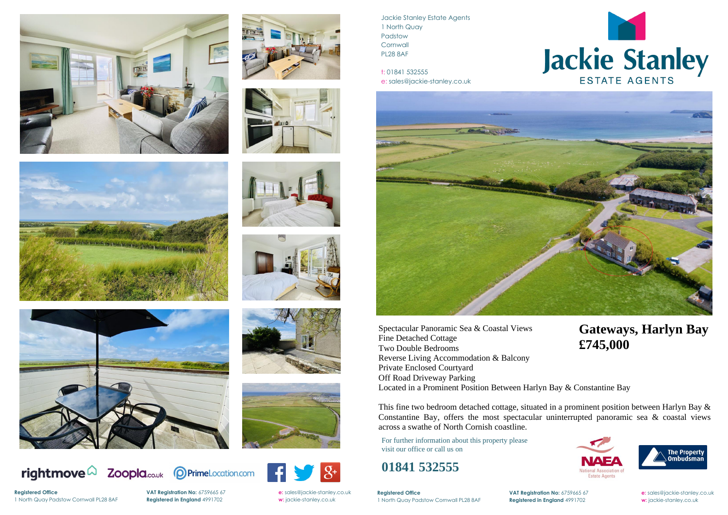















**Registered Office** 





Jackie Stanley Estate Agents 1 North Quay Padstow **Cornwall** PL28 8AF

t: 01841 532555 e: sales@jackie-stanley.co.uk



**Registered Office VAT Registration No:** 6759665 67 **e:** [sales@jackie-stanley.co.uk](mailto:sales@jackie-stanley.co.uk) 1 North Quay Padstow Cornwall PL28 8AF **Registered in England** 4991702 **w:** jackie-stanley.co.uk

For further information about this property please visit our office or call us on

## **01841 532555**

Spectacular Panoramic Sea & Coastal Views Fine Detached Cottage Two Double Bedrooms Reverse Living Accommodation & Balcony Private Enclosed Courtyard Off Road Driveway Parking Located in a Prominent Position Between Harlyn Bay & Constantine Bay

This fine two bedroom detached cottage, situated in a prominent position between Harlyn Bay & Constantine Bay, offers the most spectacular uninterrupted panoramic sea  $\&$  coastal views across a swathe of North Cornish coastline.

## **Gateways, Harlyn Bay £745,000**





1 North Quay Padstow Cornwall PL28 8AF **Registered in England** 4991702 **w:** jackie-stanley.co.uk

**VAT Registration No:** 6759665 67 **e:** [sales@jackie-stanley.co.uk](mailto:sales@jackie-stanley.co.uk)



## Jackie Stanley